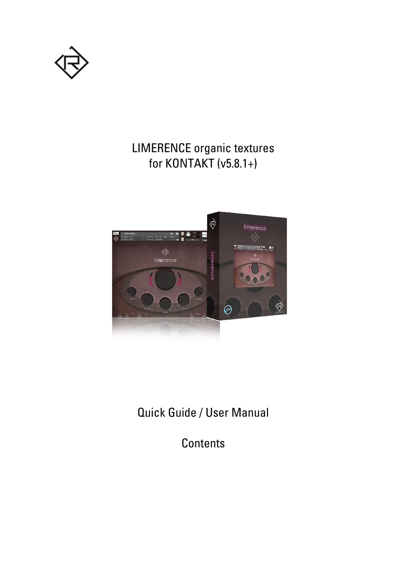

### LIMERENCE organic textures for KONTAKT (v5.8.1+)



Quick Guide / User Manual

**Contents**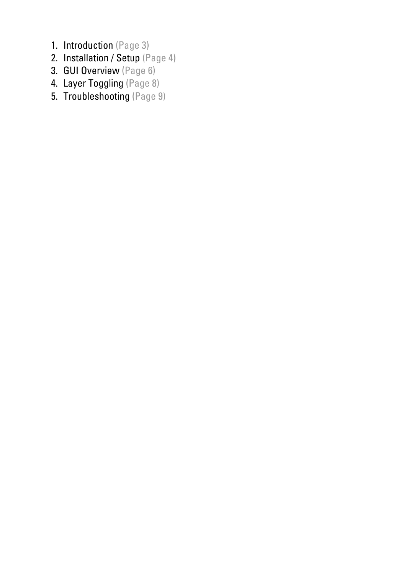- 1. Introduction (Page 3)
- 2. Installation / Setup (Page 4)
- 3. GUI Overview (Page 6)
- 4. Layer Toggling (Page 8)
- 5. Troubleshooting (Page 9)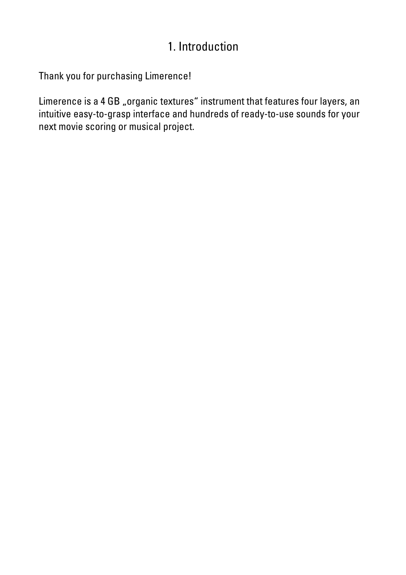### 1. Introduction

Thank you for purchasing Limerence!

Limerence is a 4 GB "organic textures" instrument that features four layers, an intuitive easy-to-grasp interface and hundreds of ready-to-use sounds for your next movie scoring or musical project.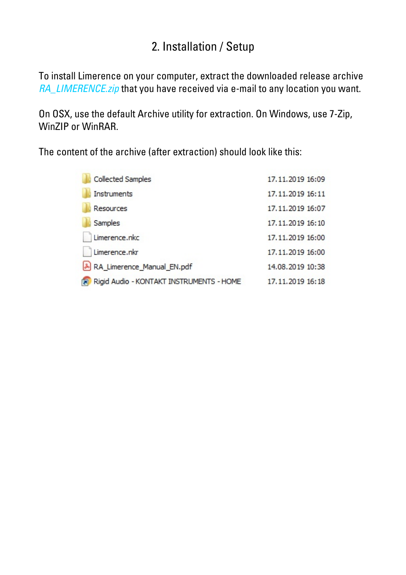### 2. Installation / Setup

To install Limerence on your computer, extract the downloaded release archive RA\_LIMERENCE.zip that you have received via e-mail to any location you want.

On OSX, use the default Archive utility for extraction. On Windows, use 7-Zip, WinZIP or WinRAR.

The content of the archive (after extraction) should look like this:

| <b>Collected Samples</b>                 | 17, 11, 2019 16:09 |
|------------------------------------------|--------------------|
| Instruments                              | 17.11.2019 16:11   |
| Resources                                | 17.11.2019 16:07   |
| Samples                                  | 17.11.2019 16:10   |
| Limerence.nkc                            | 17.11.2019 16:00   |
| Limerence.nkr                            | 17.11.2019 16:00   |
| RA Limerence Manual EN.pdf               | 14.08.2019 10:38   |
| Rigid Audio - KONTAKT INSTRUMENTS - HOME | 17.11.2019 16:18   |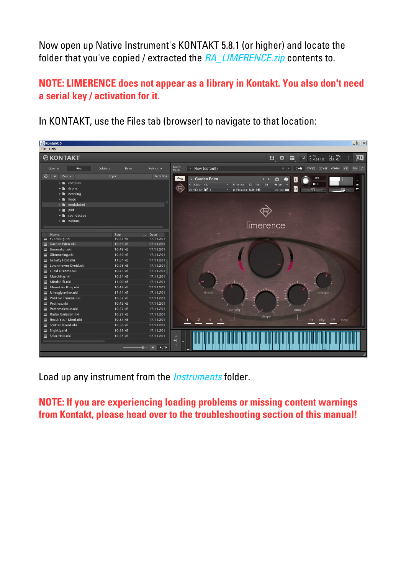Now open up Native Instrument's KONTAKT 5.8.1 (or higher) and locate the folder that you've copied / extracted the RA\_LIMERENCE.zip contents to.

#### **NOTE: LIMERENCE does not appear as a library in Kontakt. You also don't need a serial key / activation for it.**

In KONTAKT, use the Files tab (browser) to navigate to that location:

| <b>&amp;</b> Kontakt 5                                                                     |                                                | $-1$ $-1$ $\times$                                                                                                                                                                                |
|--------------------------------------------------------------------------------------------|------------------------------------------------|---------------------------------------------------------------------------------------------------------------------------------------------------------------------------------------------------|
| File Help                                                                                  |                                                |                                                                                                                                                                                                   |
| <b>@KONTAKT</b>                                                                            |                                                | <i>h</i> 13<br><b>8</b> 6.94 MB<br>Cpu 11%<br>Disk 0%<br>凹.<br>$\blacksquare$<br>۰<br>品<br>П                                                                                                      |
| Files.<br>Libraries                                                                        | <b>Automation</b><br>Database<br>Expert        | Multi<br>Rack<br>* New (default)<br>$01 - 16$<br>17-32 33-48 49-64 KSP oux x<br>$\leftarrow$                                                                                                      |
| $\Theta$<br>View $\star$<br>$\overline{\phantom{a}}$<br>+ m complex<br>+ <b>h</b><br>drone | Instr Nau<br>Import                            | $\times$<br>$\rightarrow$<br>Tune<br>Garden Eden<br>$\bullet$<br>$\lceil s \rceil$<br>Ō.<br>٠<br>0.00<br>€ Output: st.1<br>- In Voices: 13 Max: 128<br>Purge<br>$\sim$<br><b>RUX</b><br> M <br>PV |
| evolving<br>∙ ∎<br>+ huge                                                                  |                                                | @ MIDI Ch: [A] 1<br>V B Memory: 6.94 MB<br>$= - -$<br> e                                                                                                                                          |
| + modulated<br>$+$ <b>h</b> pad<br>+ m soundscape                                          |                                                |                                                                                                                                                                                                   |
| + various                                                                                  |                                                | limerence                                                                                                                                                                                         |
| Name<br><b>III</b> Full Glory.nki                                                          | Size<br>Date<br>10.45 KB<br>17.11.201          | <b>Flow</b>                                                                                                                                                                                       |
| <b>III</b> Garden Eden.nki                                                                 | 10.63 kB<br>17.11.201                          |                                                                                                                                                                                                   |
| <b>III</b> Generator.nki                                                                   | 10.48 kB<br>17.11.201                          |                                                                                                                                                                                                   |
| <b>III</b> Glimmering.nki                                                                  | 10.40 kB<br>17.11.201                          |                                                                                                                                                                                                   |
| <b>III</b> Gravity Hold.nki                                                                | 11.01 kB<br>17.11.201                          |                                                                                                                                                                                                   |
| <b>III</b> Lawnmower Droid.nki                                                             | 10.98 kB<br>17.11.201                          |                                                                                                                                                                                                   |
| <b>III</b> Lucid Dreams.nki                                                                | 10.41 kB<br>17.11.201                          |                                                                                                                                                                                                   |
| <b>III</b> Marching.nki                                                                    | 10.51 kB<br>17.11.201                          |                                                                                                                                                                                                   |
| <b>III</b> Mindshift.nki                                                                   | 11.00 kB<br>17.11.201                          |                                                                                                                                                                                                   |
| Mountain King.nki<br>Ш                                                                     | 10.49 kB<br>17.11.201                          |                                                                                                                                                                                                   |
| <b>III</b> Nitroglycerine.nki                                                              | 12.41 kB<br>17.11.201                          | attack<br>release                                                                                                                                                                                 |
| <b>III</b> Positive Trauma.nki                                                             | 10.67 kB<br>17.11.201                          |                                                                                                                                                                                                   |
| <b>III</b> Prothea.nki                                                                     | 10.42 kB<br>17.11.201                          |                                                                                                                                                                                                   |
| <b>III</b> Protomolecule.nki                                                               | 10.57 kB<br>17.11.201                          | density<br>tone                                                                                                                                                                                   |
| <b>III</b> Radar Emission.nki                                                              | 10.27 kB<br>17.11.201                          | shape                                                                                                                                                                                             |
| <b>III</b> Reset Your Mind.nki                                                             | 10.54 kB<br>17.11.201                          | $\overline{2}$<br>IR<br>phs<br>flt<br>dly                                                                                                                                                         |
| <b>III</b> Scatter Island.nki                                                              | 10.50 kB<br>17.11.201                          |                                                                                                                                                                                                   |
| <b>III</b> Slightly.nki                                                                    | 10.53 kB<br>17.11.201<br>10.25 kB<br>17.11.201 |                                                                                                                                                                                                   |
| <b>III</b> Solar Hole.nki                                                                  | $\blacktriangleright$<br><b>AUTO</b>           | ×<br>$+0$                                                                                                                                                                                         |

Load up any instrument from the *Instruments* folder.

**NOTE: If you are experiencing loading problems or missing content warnings from Kontakt, please head over to the troubleshooting section of this manual!**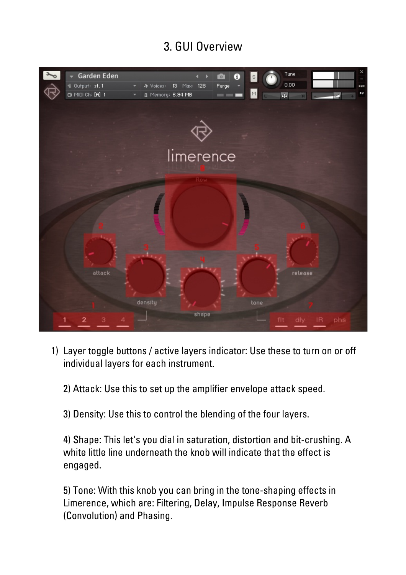# 3. GUI Overview



- 1) Layer toggle buttons / active layers indicator: Use these to turn on or off individual layers for each instrument.
	- 2) Attack: Use this to set up the amplifier envelope attack speed.
	- 3) Density: Use this to control the blending of the four layers.

4) Shape: This let's you dial in saturation, distortion and bit-crushing. A white little line underneath the knob will indicate that the effect is engaged.

5) Tone: With this knob you can bring in the tone-shaping effects in Limerence, which are: Filtering, Delay, Impulse Response Reverb (Convolution) and Phasing.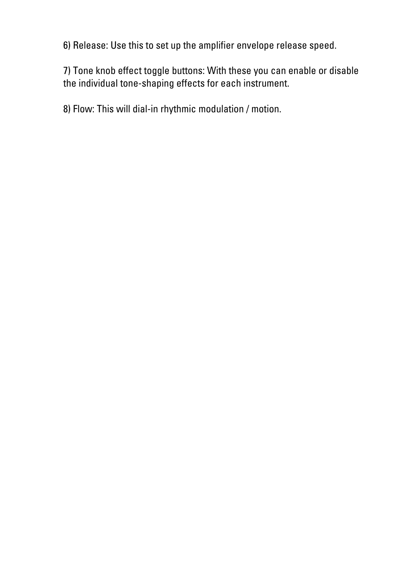6) Release: Use this to set up the amplifier envelope release speed.

7) Tone knob effect toggle buttons: With these you can enable or disable the individual tone-shaping effects for each instrument.

8) Flow: This will dial-in rhythmic modulation / motion.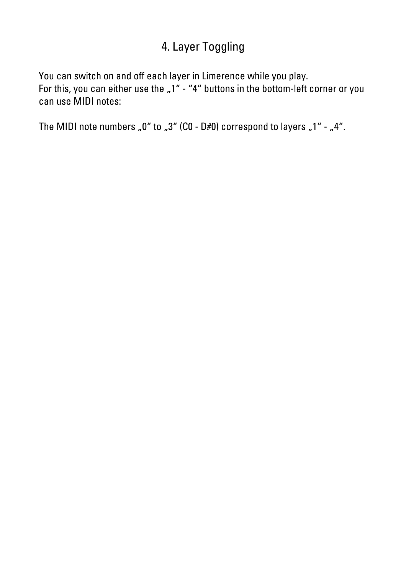# 4. Layer Toggling

You can switch on and off each layer in Limerence while you play. For this, you can either use the  $.1"$  - "4" buttons in the bottom-left corner or you can use MIDI notes:

The MIDI note numbers "0" to "3" (C0 - D#0) correspond to layers "1" - "4".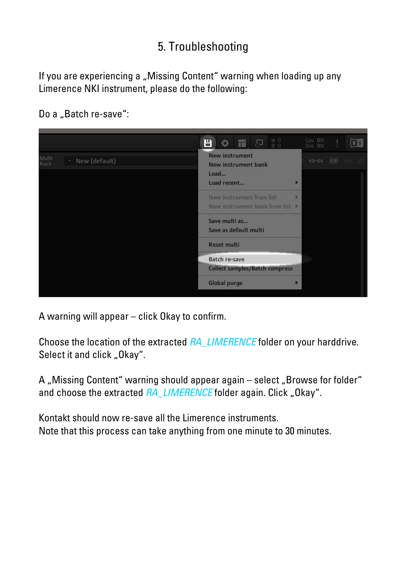# 5. Troubleshooting

If you are experiencing a "Missing Content" warning when loading up any Limerence NKI instrument, please do the following:

Do a "Batch re-save":



A warning will appear – click Okay to confirm.

Choose the location of the extracted RA\_LIMERENCE folder on your harddrive. Select it and click "Okay".

A "Missing Content" warning should appear again – select "Browse for folder" and choose the extracted RA\_LIMERENCE folder again. Click "Okay".

Kontakt should now re-save all the Limerence instruments. Note that this process can take anything from one minute to 30 minutes.